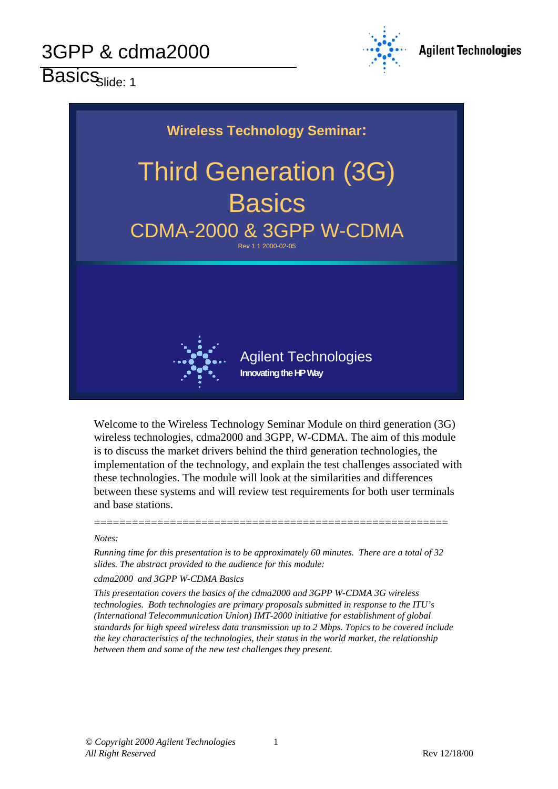Basics<sub>Slide: 1</sub>





Welcome to the Wireless Technology Seminar Module on third generation (3G) wireless technologies, cdma2000 and 3GPP, W-CDMA. The aim of this module is to discuss the market drivers behind the third generation technologies, the implementation of the technology, and explain the test challenges associated with these technologies. The module will look at the similarities and differences between these systems and will review test requirements for both user terminals and base stations.

#### *Notes:*

*Running time for this presentation is to be approximately 60 minutes. There are a total of 32 slides. The abstract provided to the audience for this module:*

========================================================

#### *cdma2000 and 3GPP W-CDMA Basics*

*This presentation covers the basics of the cdma2000 and 3GPP W-CDMA 3G wireless technologies. Both technologies are primary proposals submitted in response to the ITU's (International Telecommunication Union) IMT-2000 initiative for establishment of global standards for high speed wireless data transmission up to 2 Mbps. Topics to be covered include the key characteristics of the technologies, their status in the world market, the relationship between them and some of the new test challenges they present.*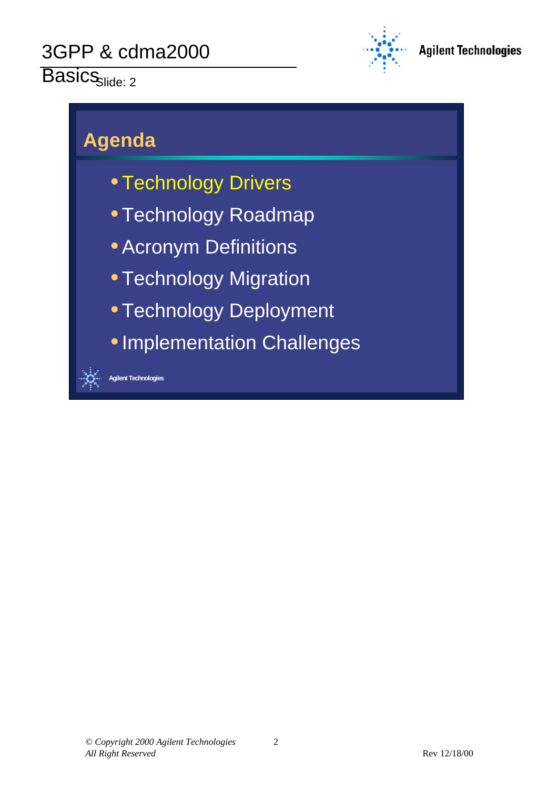Basics<sub>Slide: 2</sub>



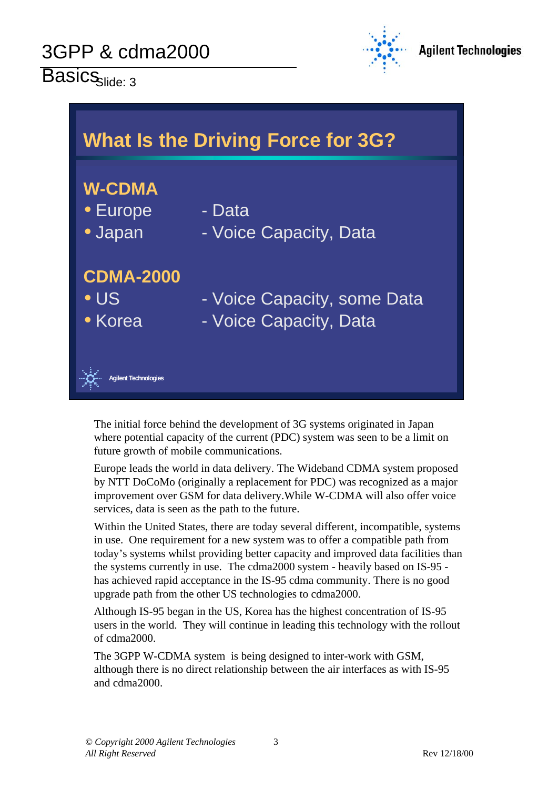$\overline{\text{Basics}}_{\text{slide: }3}$ 



| <b>What Is the Driving Force for 3G?</b>    |                                                       |  |  |  |  |
|---------------------------------------------|-------------------------------------------------------|--|--|--|--|
| <b>W-CDMA</b><br>• Europe<br>· Japan        | - Data<br>- Voice Capacity, Data                      |  |  |  |  |
| <b>CDMA-2000</b><br>$\bullet$ US<br>• Korea | - Voice Capacity, some Data<br>- Voice Capacity, Data |  |  |  |  |
| <b>Agilent Technologies</b>                 |                                                       |  |  |  |  |

The initial force behind the development of 3G systems originated in Japan where potential capacity of the current (PDC) system was seen to be a limit on future growth of mobile communications.

Europe leads the world in data delivery. The Wideband CDMA system proposed by NTT DoCoMo (originally a replacement for PDC) was recognized as a major improvement over GSM for data delivery.While W-CDMA will also offer voice services, data is seen as the path to the future.

Within the United States, there are today several different, incompatible, systems in use. One requirement for a new system was to offer a compatible path from today's systems whilst providing better capacity and improved data facilities than the systems currently in use. The cdma2000 system - heavily based on IS-95 has achieved rapid acceptance in the IS-95 cdma community. There is no good upgrade path from the other US technologies to cdma2000.

Although IS-95 began in the US, Korea has the highest concentration of IS-95 users in the world. They will continue in leading this technology with the rollout of cdma2000.

The 3GPP W-CDMA system is being designed to inter-work with GSM, although there is no direct relationship between the air interfaces as with IS-95 and cdma2000.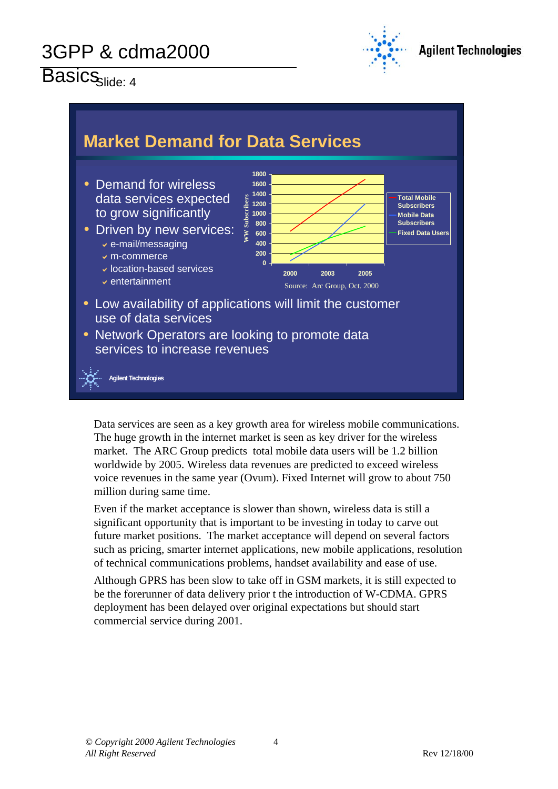# Basics<sub>slide: 4</sub>





Data services are seen as a key growth area for wireless mobile communications. The huge growth in the internet market is seen as key driver for the wireless market. The ARC Group predicts total mobile data users will be 1.2 billion worldwide by 2005. Wireless data revenues are predicted to exceed wireless voice revenues in the same year (Ovum). Fixed Internet will grow to about 750 million during same time.

Even if the market acceptance is slower than shown, wireless data is still a significant opportunity that is important to be investing in today to carve out future market positions. The market acceptance will depend on several factors such as pricing, smarter internet applications, new mobile applications, resolution of technical communications problems, handset availability and ease of use.

Although GPRS has been slow to take off in GSM markets, it is still expected to be the forerunner of data delivery prior t the introduction of W-CDMA. GPRS deployment has been delayed over original expectations but should start commercial service during 2001.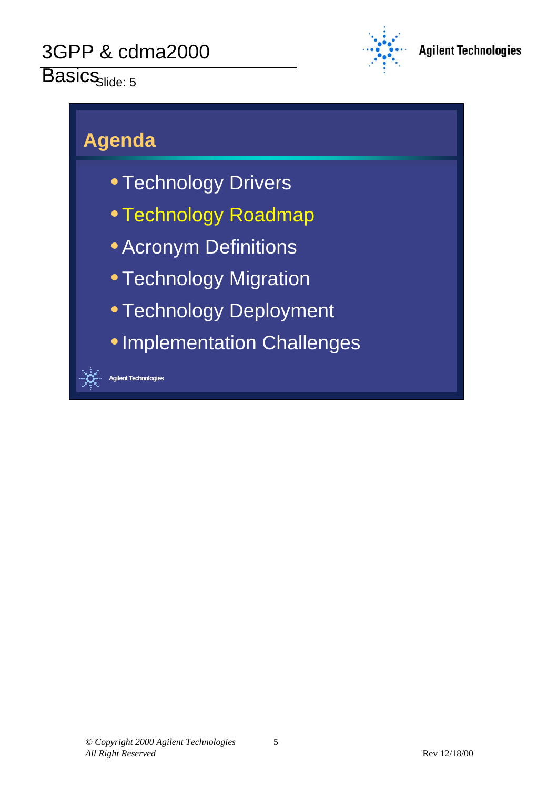#### Basics<sub>Slide: 5</sub>



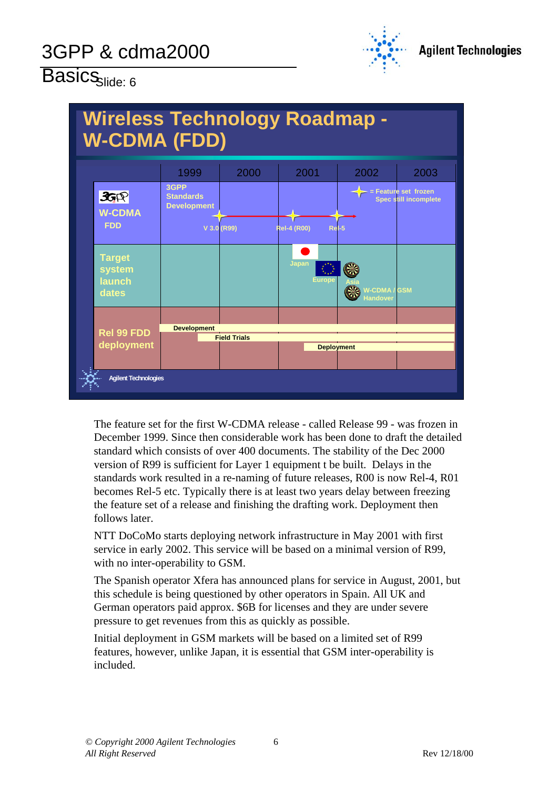

# $\overline{\mathsf{Basis}}_{\mathsf{Side: 6}}$



The feature set for the first W-CDMA release - called Release 99 - was frozen in December 1999. Since then considerable work has been done to draft the detailed standard which consists of over 400 documents. The stability of the Dec 2000 version of R99 is sufficient for Layer 1 equipment t be built. Delays in the standards work resulted in a re-naming of future releases, R00 is now Rel-4, R01 becomes Rel-5 etc. Typically there is at least two years delay between freezing the feature set of a release and finishing the drafting work. Deployment then follows later.

NTT DoCoMo starts deploying network infrastructure in May 2001 with first service in early 2002. This service will be based on a minimal version of R99, with no inter-operability to GSM.

The Spanish operator Xfera has announced plans for service in August, 2001, but this schedule is being questioned by other operators in Spain. All UK and German operators paid approx. \$6B for licenses and they are under severe pressure to get revenues from this as quickly as possible.

Initial deployment in GSM markets will be based on a limited set of R99 features, however, unlike Japan, it is essential that GSM inter-operability is included.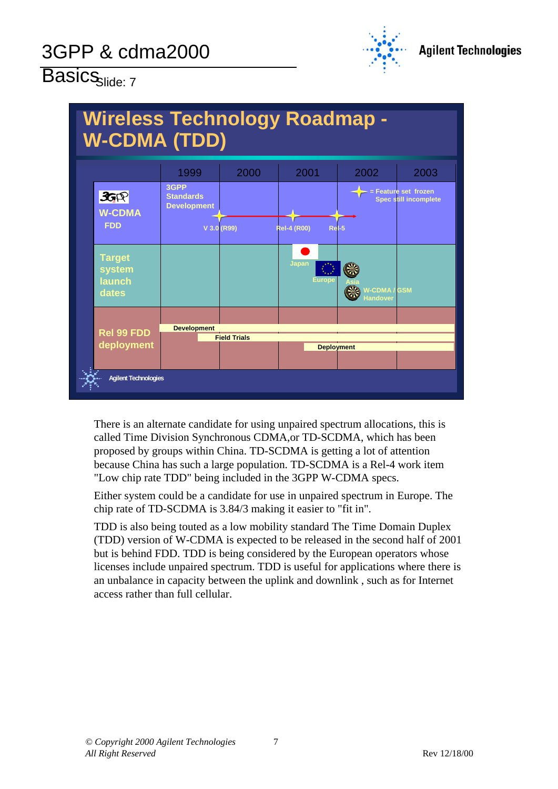

# Basics<sub>Slide: 7</sub>



There is an alternate candidate for using unpaired spectrum allocations, this is called Time Division Synchronous CDMA,or TD-SCDMA, which has been proposed by groups within China. TD-SCDMA is getting a lot of attention because China has such a large population. TD-SCDMA is a Rel-4 work item "Low chip rate TDD" being included in the 3GPP W-CDMA specs.

Either system could be a candidate for use in unpaired spectrum in Europe. The chip rate of TD-SCDMA is 3.84/3 making it easier to "fit in".

TDD is also being touted as a low mobility standard The Time Domain Duplex (TDD) version of W-CDMA is expected to be released in the second half of 2001 but is behind FDD. TDD is being considered by the European operators whose licenses include unpaired spectrum. TDD is useful for applications where there is an unbalance in capacity between the uplink and downlink , such as for Internet access rather than full cellular.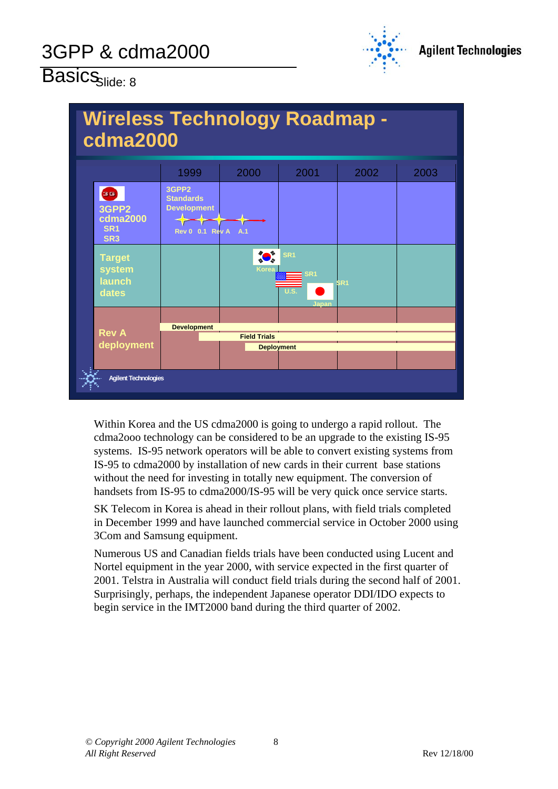

# $\overline{\mathsf{Basis}}_{\mathsf{Side}:\,8}$



Within Korea and the US cdma2000 is going to undergo a rapid rollout. The cdma2ooo technology can be considered to be an upgrade to the existing IS-95 systems. IS-95 network operators will be able to convert existing systems from IS-95 to cdma2000 by installation of new cards in their current base stations without the need for investing in totally new equipment. The conversion of handsets from IS-95 to cdma2000/IS-95 will be very quick once service starts.

SK Telecom in Korea is ahead in their rollout plans, with field trials completed in December 1999 and have launched commercial service in October 2000 using 3Com and Samsung equipment.

Numerous US and Canadian fields trials have been conducted using Lucent and Nortel equipment in the year 2000, with service expected in the first quarter of 2001. Telstra in Australia will conduct field trials during the second half of 2001. Surprisingly, perhaps, the independent Japanese operator DDI/IDO expects to begin service in the IMT2000 band during the third quarter of 2002.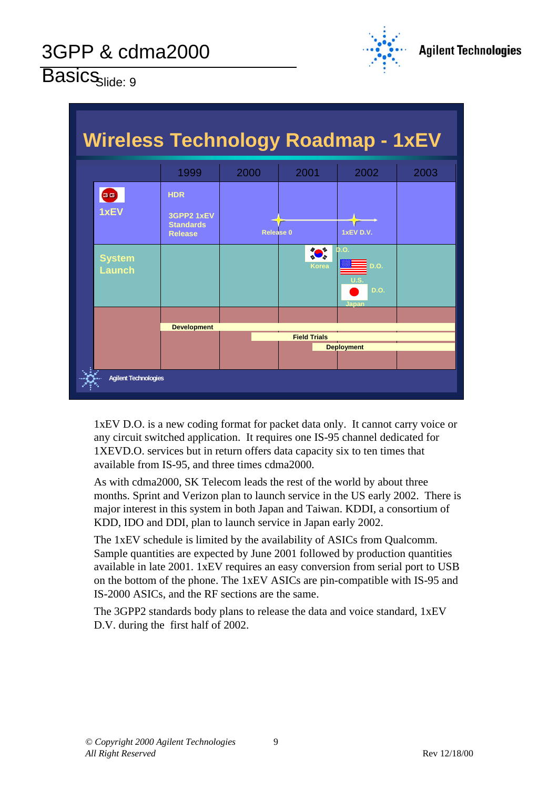

# Basics<sub>slide: 9</sub>

| <b>Wireless Technology Roadmap - 1xEV</b> |                                |                                                                |                   |                      |                               |      |  |
|-------------------------------------------|--------------------------------|----------------------------------------------------------------|-------------------|----------------------|-------------------------------|------|--|
|                                           |                                | 1999                                                           | 2000              | 2001                 | 2002                          | 2003 |  |
|                                           | 39<br>1xEV                     | <b>HDR</b><br>3GPP2 1xEV<br><b>Standards</b><br><b>Release</b> | <b>Release 0</b>  |                      | 1xEV D.V.                     |      |  |
|                                           | <b>System</b><br><b>Launch</b> |                                                                |                   | ∥● 、<br><b>Korea</b> | b.o.<br>D.O.<br>D.O.<br>Japan |      |  |
|                                           |                                |                                                                |                   |                      |                               |      |  |
| <b>Development</b>                        |                                | <b>Field Trials</b>                                            |                   |                      |                               |      |  |
|                                           |                                |                                                                | <b>Deployment</b> |                      |                               |      |  |
|                                           |                                |                                                                |                   |                      |                               |      |  |
| <b>Agilent Technologies</b>               |                                |                                                                |                   |                      |                               |      |  |

1xEV D.O. is a new coding format for packet data only. It cannot carry voice or any circuit switched application. It requires one IS-95 channel dedicated for 1XEVD.O. services but in return offers data capacity six to ten times that available from IS-95, and three times cdma2000.

As with cdma2000, SK Telecom leads the rest of the world by about three months. Sprint and Verizon plan to launch service in the US early 2002. There is major interest in this system in both Japan and Taiwan. KDDI, a consortium of KDD, IDO and DDI, plan to launch service in Japan early 2002.

The 1xEV schedule is limited by the availability of ASICs from Qualcomm. Sample quantities are expected by June 2001 followed by production quantities available in late 2001. 1xEV requires an easy conversion from serial port to USB on the bottom of the phone. The 1xEV ASICs are pin-compatible with IS-95 and IS-2000 ASICs, and the RF sections are the same.

The 3GPP2 standards body plans to release the data and voice standard, 1xEV D.V. during the first half of 2002.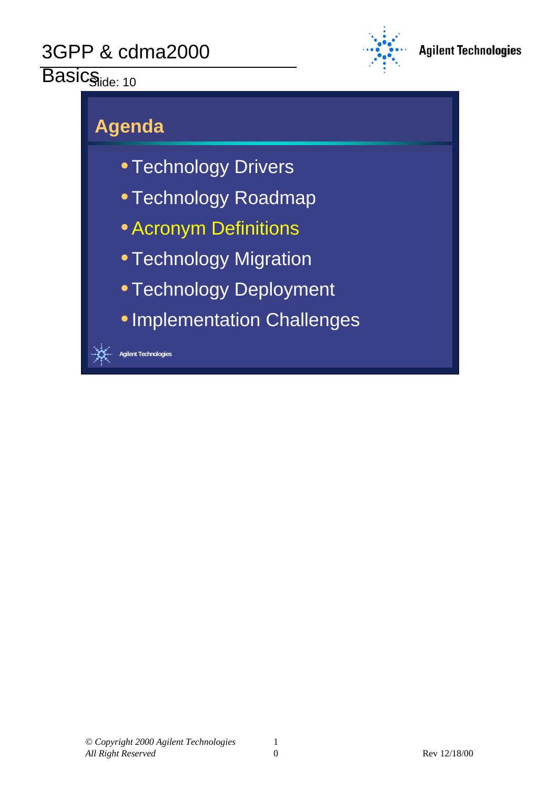#### $\overline{\mathsf{BasicS}_{\mathsf{ilde}: 10}}$



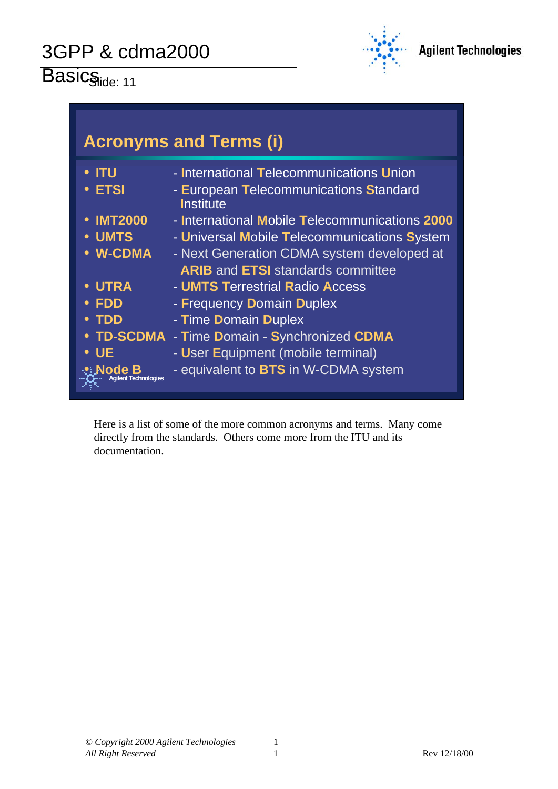Basicside: 11



| <b>Acronyms and Terms (i)</b>                                                          |                                                                                                                                                                                                                                       |  |  |  |
|----------------------------------------------------------------------------------------|---------------------------------------------------------------------------------------------------------------------------------------------------------------------------------------------------------------------------------------|--|--|--|
| <b>ITU</b><br><b>ETSI</b>                                                              | - International Telecommunications Union<br>- European Telecommunications Standard<br><b>Institute</b>                                                                                                                                |  |  |  |
| <b>IMT2000</b><br><b>UMTS</b><br>• W-CDMA                                              | - International Mobile Telecommunications 2000<br>- Universal Mobile Telecommunications System<br>- Next Generation CDMA system developed at<br><b>ARIB and ETSI standards committee</b>                                              |  |  |  |
| <b>UTRA</b><br><b>FDD</b><br><b>TDD</b><br><b>UE</b><br>Node B<br>Agilent Technologies | - <b>UMTS Terrestrial Radio Access</b><br>- Frequency Domain Duplex<br>- Time Domain Duplex<br><b>TD-SCDMA - Time Domain - Synchronized CDMA</b><br>- User Equipment (mobile terminal)<br>- equivalent to <b>BTS</b> in W-CDMA system |  |  |  |

Here is a list of some of the more common acronyms and terms. Many come directly from the standards. Others come more from the ITU and its documentation.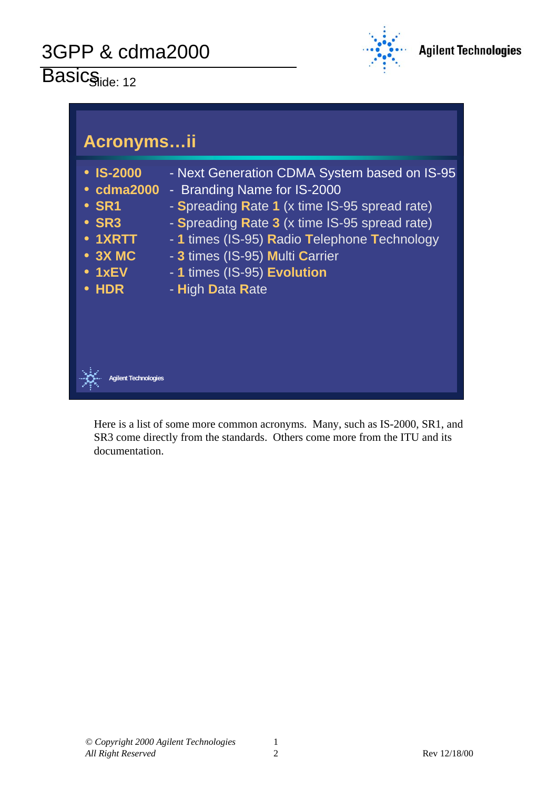Basicside: 12





Here is a list of some more common acronyms. Many, such as IS-2000, SR1, and SR3 come directly from the standards. Others come more from the ITU and its documentation.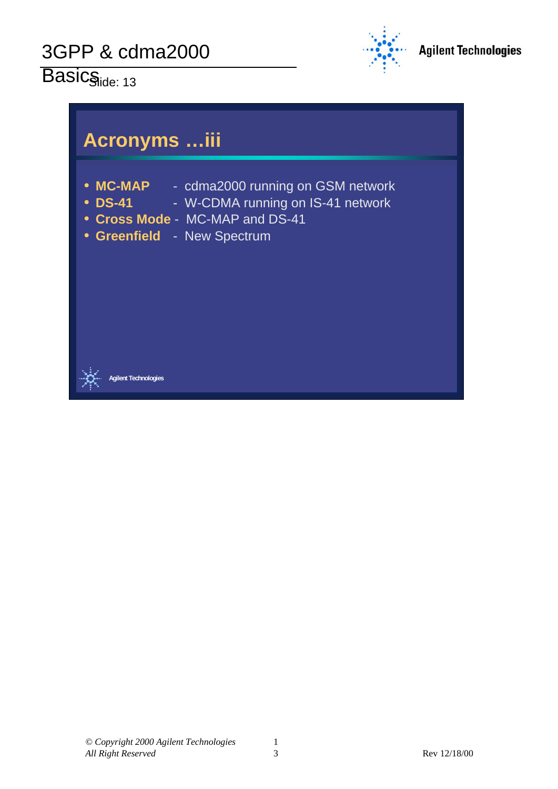$Basis_{ide: 13}$ 



#### **Acronyms …iii**

- MC-MAP cdma2000 running on GSM network
- **DS-41** W-CDMA running on IS-41 network
- y **Cross Mode**  MC-MAP and DS-41
- **Greenfield New Spectrum**



**Agilent Technologies**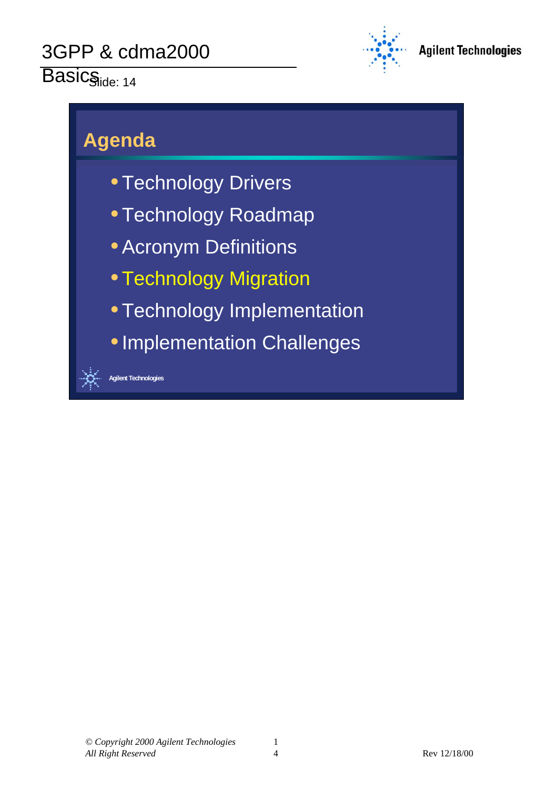# Basicside: 14



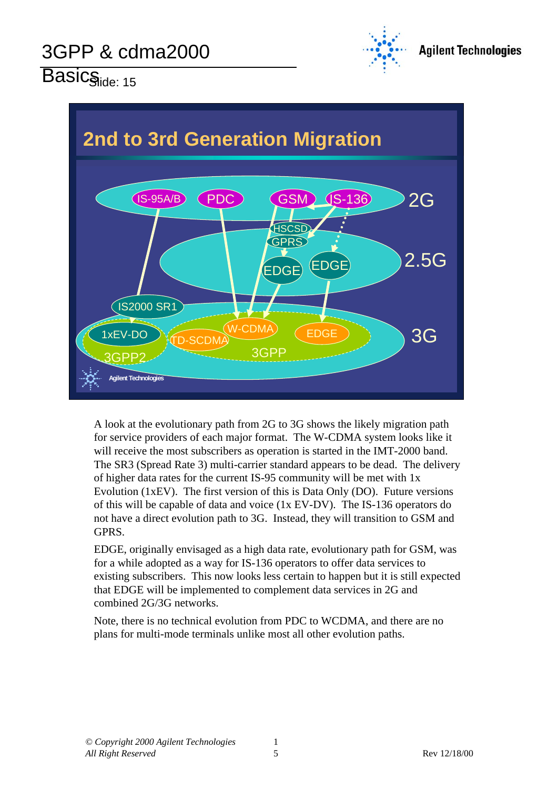

Basicside: 15



A look at the evolutionary path from 2G to 3G shows the likely migration path for service providers of each major format. The W-CDMA system looks like it will receive the most subscribers as operation is started in the IMT-2000 band. The SR3 (Spread Rate 3) multi-carrier standard appears to be dead. The delivery of higher data rates for the current IS-95 community will be met with 1x Evolution (1xEV). The first version of this is Data Only (DO). Future versions of this will be capable of data and voice (1x EV-DV). The IS-136 operators do not have a direct evolution path to 3G. Instead, they will transition to GSM and GPRS.

EDGE, originally envisaged as a high data rate, evolutionary path for GSM, was for a while adopted as a way for IS-136 operators to offer data services to existing subscribers. This now looks less certain to happen but it is still expected that EDGE will be implemented to complement data services in 2G and combined 2G/3G networks.

Note, there is no technical evolution from PDC to WCDMA, and there are no plans for multi-mode terminals unlike most all other evolution paths.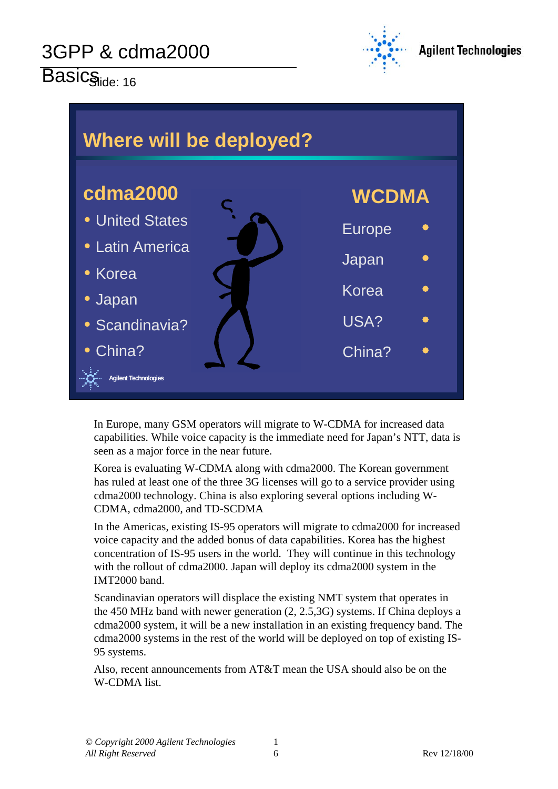Basic<sub>Side: 16</sub>





In Europe, many GSM operators will migrate to W-CDMA for increased data capabilities. While voice capacity is the immediate need for Japan's NTT, data is seen as a major force in the near future.

Korea is evaluating W-CDMA along with cdma2000. The Korean government has ruled at least one of the three 3G licenses will go to a service provider using cdma2000 technology. China is also exploring several options including W-CDMA, cdma2000, and TD-SCDMA

In the Americas, existing IS-95 operators will migrate to cdma2000 for increased voice capacity and the added bonus of data capabilities. Korea has the highest concentration of IS-95 users in the world. They will continue in this technology with the rollout of cdma2000. Japan will deploy its cdma2000 system in the IMT2000 band.

Scandinavian operators will displace the existing NMT system that operates in the 450 MHz band with newer generation (2, 2.5,3G) systems. If China deploys a cdma2000 system, it will be a new installation in an existing frequency band. The cdma2000 systems in the rest of the world will be deployed on top of existing IS-95 systems.

Also, recent announcements from AT&T mean the USA should also be on the W-CDMA list.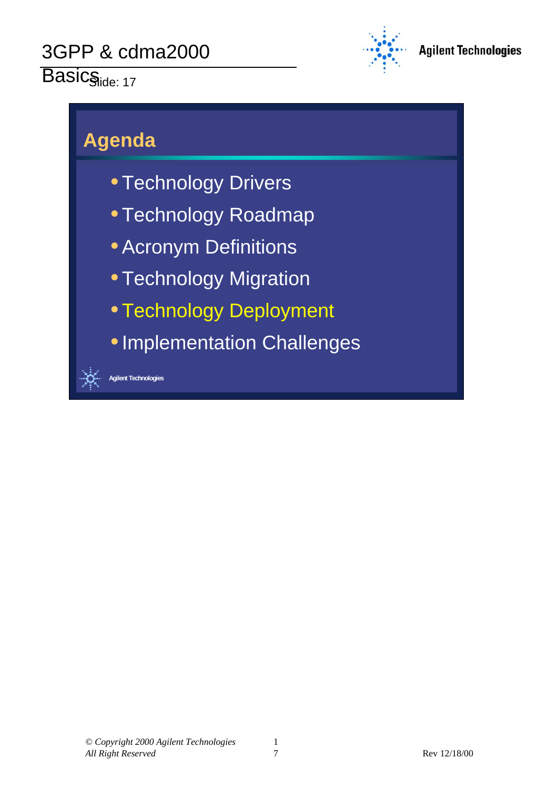# Basicside: 17



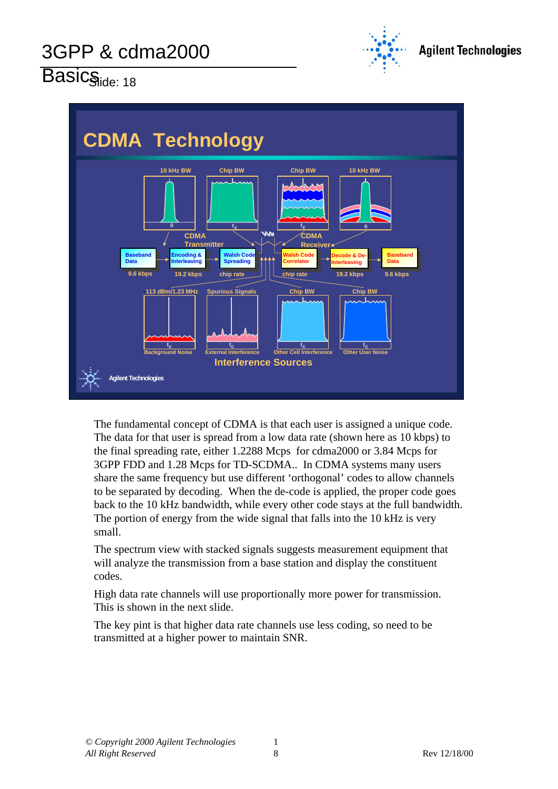

Basicside: 18



The fundamental concept of CDMA is that each user is assigned a unique code. The data for that user is spread from a low data rate (shown here as 10 kbps) to the final spreading rate, either 1.2288 Mcps for cdma2000 or 3.84 Mcps for 3GPP FDD and 1.28 Mcps for TD-SCDMA.. In CDMA systems many users share the same frequency but use different 'orthogonal' codes to allow channels to be separated by decoding. When the de-code is applied, the proper code goes back to the 10 kHz bandwidth, while every other code stays at the full bandwidth. The portion of energy from the wide signal that falls into the 10 kHz is very small.

The spectrum view with stacked signals suggests measurement equipment that will analyze the transmission from a base station and display the constituent codes.

High data rate channels will use proportionally more power for transmission. This is shown in the next slide.

The key pint is that higher data rate channels use less coding, so need to be transmitted at a higher power to maintain SNR.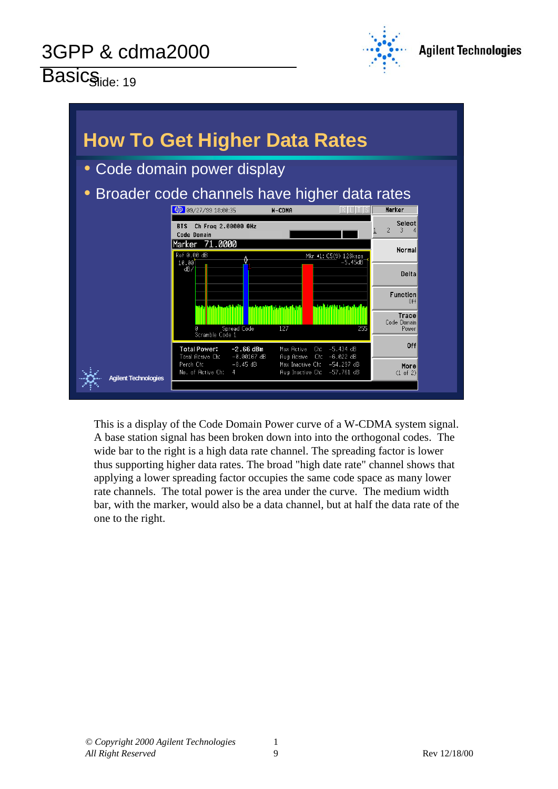Basicside: 19





This is a display of the Code Domain Power curve of a W-CDMA system signal. A base station signal has been broken down into into the orthogonal codes. The wide bar to the right is a high data rate channel. The spreading factor is lower thus supporting higher data rates. The broad "high date rate" channel shows that applying a lower spreading factor occupies the same code space as many lower rate channels. The total power is the area under the curve. The medium width bar, with the marker, would also be a data channel, but at half the data rate of the one to the right.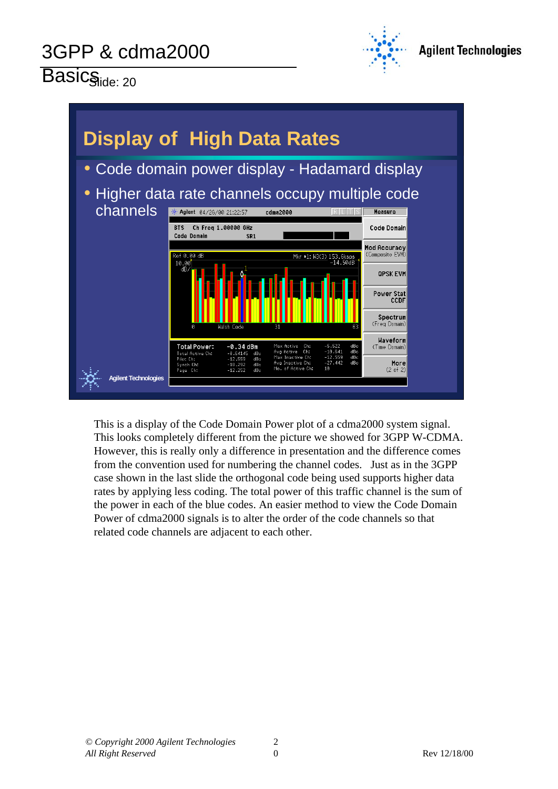

Basicside: 20



This is a display of the Code Domain Power plot of a cdma2000 system signal. This looks completely different from the picture we showed for 3GPP W-CDMA. However, this is really only a difference in presentation and the difference comes from the convention used for numbering the channel codes. Just as in the 3GPP case shown in the last slide the orthogonal code being used supports higher data rates by applying less coding. The total power of this traffic channel is the sum of the power in each of the blue codes. An easier method to view the Code Domain Power of cdma2000 signals is to alter the order of the code channels so that related code channels are adjacent to each other.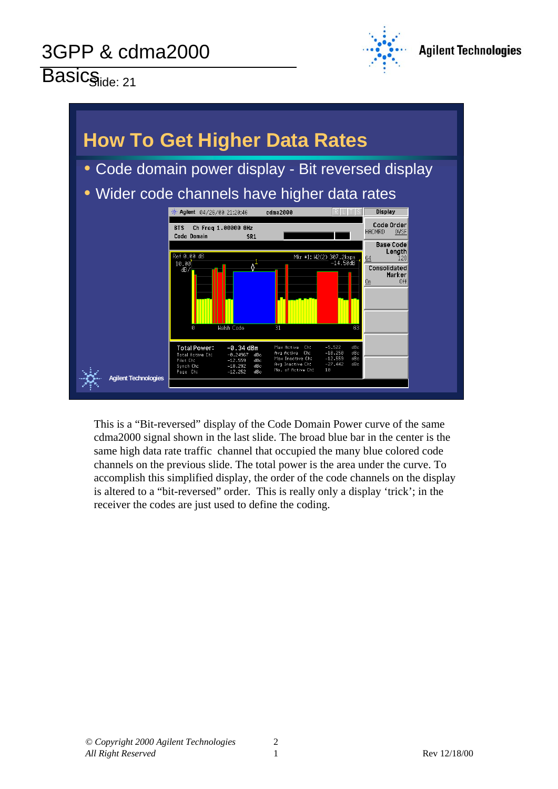Basicside: 21



#### **How To Get Higher Data Rates** • Code domain power display - Bit reversed display • Wider code channels have higher data rates cdma2000 **※ Agilent** 04/26/00 21:20:46 **Display** Code Order BTS Ch Freq 1,00000 GHz HADMRD **OVSE** Code Domain SR<sub>1</sub> **Base Code** Length Mkr #1:  $N2(2)$  307. Consolidated Marker  $-0.34$  dBm Total Power: **Agilent Technologies**

This is a "Bit-reversed" display of the Code Domain Power curve of the same cdma2000 signal shown in the last slide. The broad blue bar in the center is the same high data rate traffic channel that occupied the many blue colored code channels on the previous slide. The total power is the area under the curve. To accomplish this simplified display, the order of the code channels on the display is altered to a "bit-reversed" order. This is really only a display 'trick'; in the receiver the codes are just used to define the coding.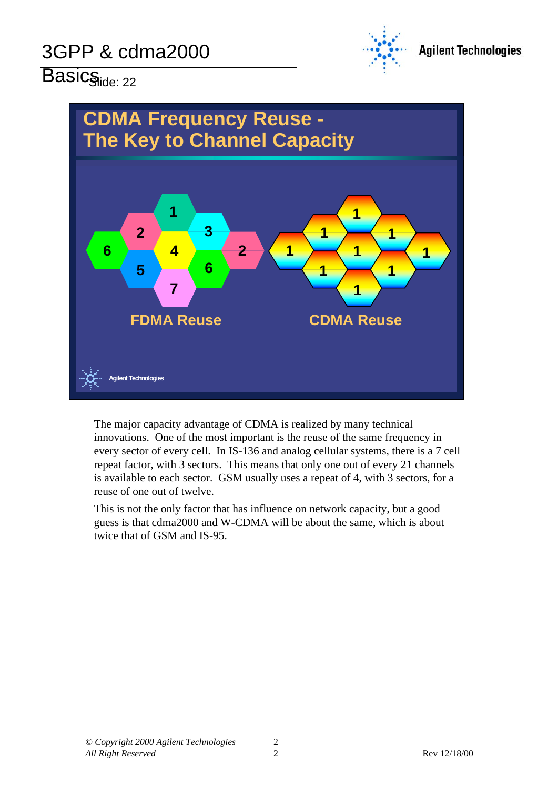

# Basicside: 22



The major capacity advantage of CDMA is realized by many technical innovations. One of the most important is the reuse of the same frequency in every sector of every cell. In IS-136 and analog cellular systems, there is a 7 cell repeat factor, with 3 sectors. This means that only one out of every 21 channels is available to each sector. GSM usually uses a repeat of 4, with 3 sectors, for a reuse of one out of twelve.

This is not the only factor that has influence on network capacity, but a good guess is that cdma2000 and W-CDMA will be about the same, which is about twice that of GSM and IS-95.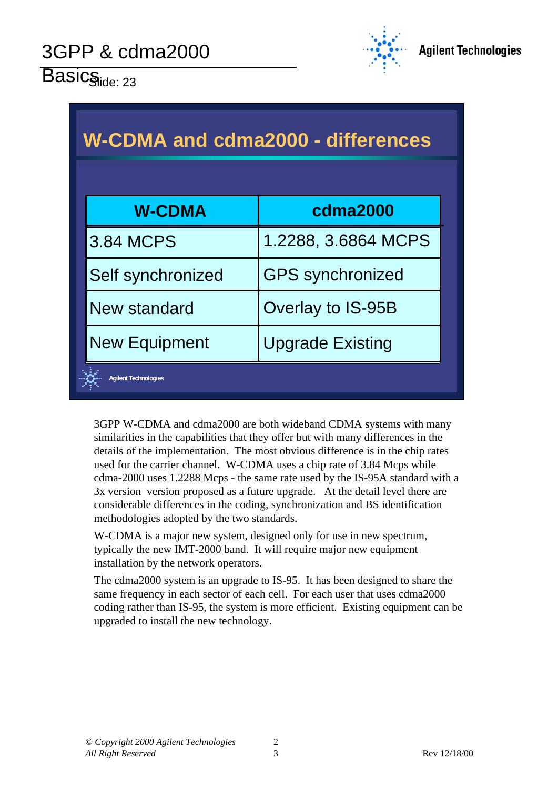

 $\overline{\mathsf{Basis}}_{\mathsf{ide:} 23}$ 

| <b>W-CDMA and cdma2000 - differences</b> |                         |  |  |  |  |
|------------------------------------------|-------------------------|--|--|--|--|
| <b>W-CDMA</b>                            | cdma2000                |  |  |  |  |
| <b>3.84 MCPS</b>                         | 1.2288, 3.6864 MCPS     |  |  |  |  |
| Self synchronized                        | <b>GPS</b> synchronized |  |  |  |  |
| New standard                             | Overlay to IS-95B       |  |  |  |  |
| <b>New Equipment</b>                     | <b>Upgrade Existing</b> |  |  |  |  |
| <b>Agilent Technologies</b>              |                         |  |  |  |  |

3GPP W-CDMA and cdma2000 are both wideband CDMA systems with many similarities in the capabilities that they offer but with many differences in the details of the implementation. The most obvious difference is in the chip rates used for the carrier channel. W-CDMA uses a chip rate of 3.84 Mcps while cdma-2000 uses 1.2288 Mcps - the same rate used by the IS-95A standard with a 3x version version proposed as a future upgrade. At the detail level there are considerable differences in the coding, synchronization and BS identification methodologies adopted by the two standards.

W-CDMA is a major new system, designed only for use in new spectrum, typically the new IMT-2000 band. It will require major new equipment installation by the network operators.

The cdma2000 system is an upgrade to IS-95. It has been designed to share the same frequency in each sector of each cell. For each user that uses cdma2000 coding rather than IS-95, the system is more efficient. Existing equipment can be upgraded to install the new technology.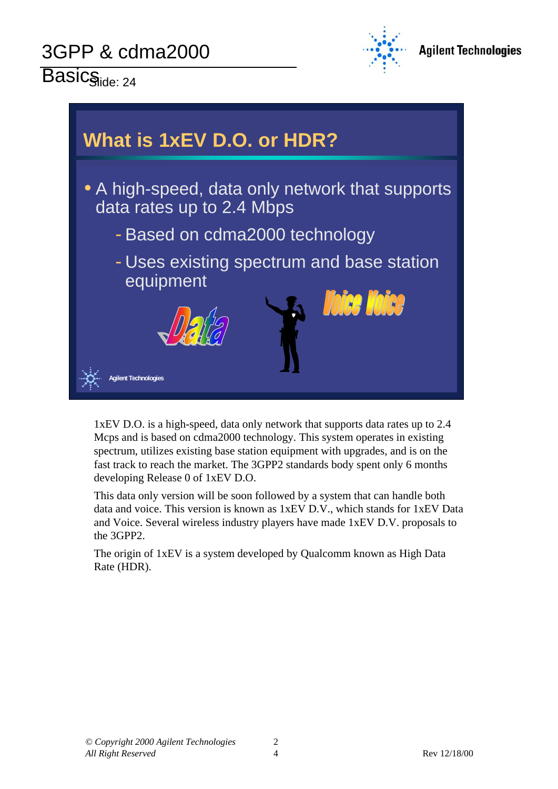$\overline{\mathsf{Basis}}_{\mathsf{side:} 24}$ 





1xEV D.O. is a high-speed, data only network that supports data rates up to 2.4 Mcps and is based on cdma2000 technology. This system operates in existing spectrum, utilizes existing base station equipment with upgrades, and is on the fast track to reach the market. The 3GPP2 standards body spent only 6 months developing Release 0 of 1xEV D.O.

This data only version will be soon followed by a system that can handle both data and voice. This version is known as 1xEV D.V., which stands for 1xEV Data and Voice. Several wireless industry players have made 1xEV D.V. proposals to the 3GPP2.

The origin of 1xEV is a system developed by Qualcomm known as High Data Rate (HDR).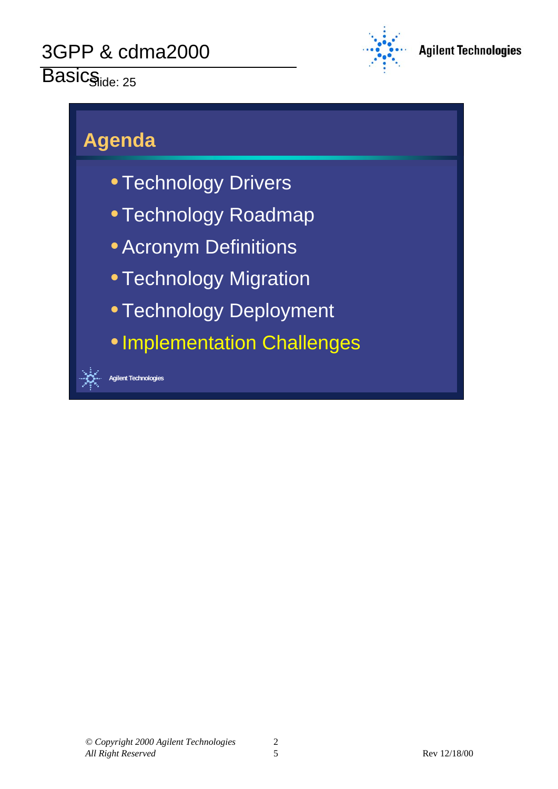# Basicside: 25



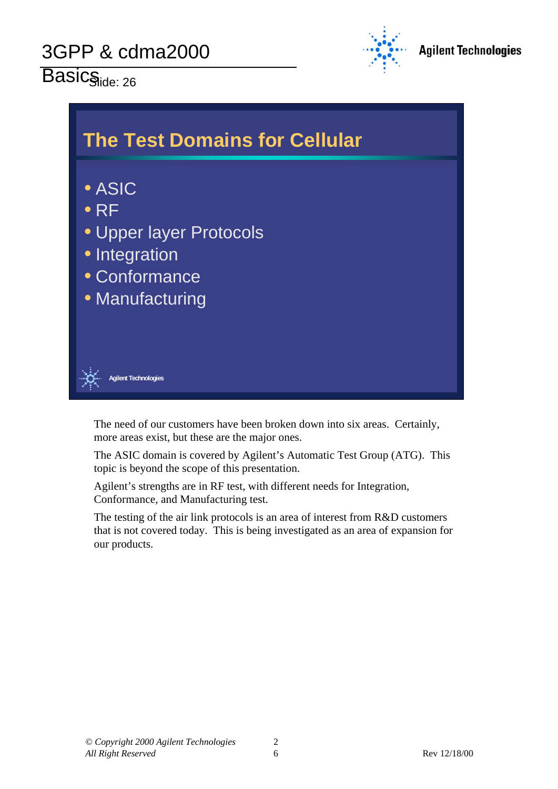Basicside: 26





The need of our customers have been broken down into six areas. Certainly, more areas exist, but these are the major ones.

The ASIC domain is covered by Agilent's Automatic Test Group (ATG). This topic is beyond the scope of this presentation.

Agilent's strengths are in RF test, with different needs for Integration, Conformance, and Manufacturing test.

The testing of the air link protocols is an area of interest from R&D customers that is not covered today. This is being investigated as an area of expansion for our products.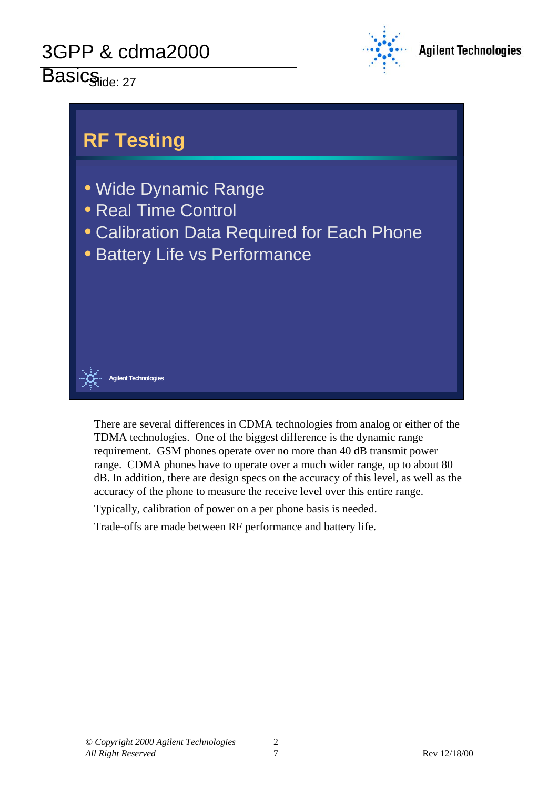# Basicside: 27





There are several differences in CDMA technologies from analog or either of the TDMA technologies. One of the biggest difference is the dynamic range requirement. GSM phones operate over no more than 40 dB transmit power range. CDMA phones have to operate over a much wider range, up to about 80 dB. In addition, there are design specs on the accuracy of this level, as well as the accuracy of the phone to measure the receive level over this entire range.

Typically, calibration of power on a per phone basis is needed.

Trade-offs are made between RF performance and battery life.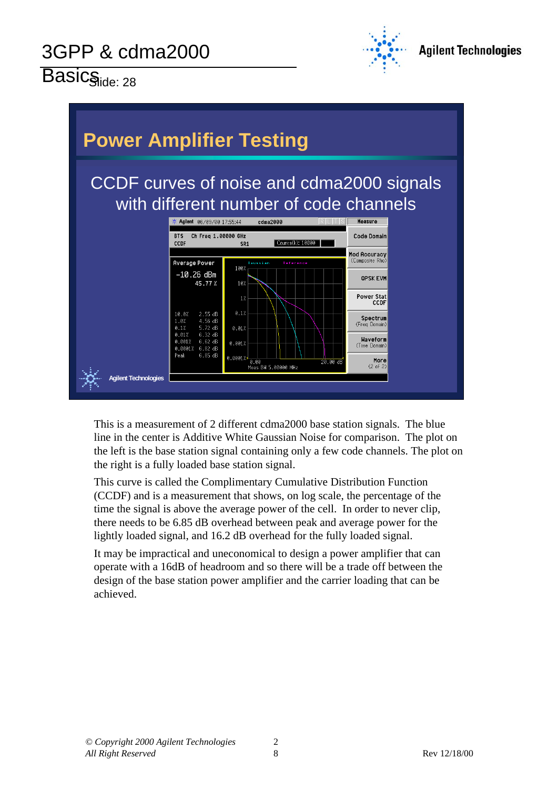Basicside: 28





This is a measurement of 2 different cdma2000 base station signals. The blue line in the center is Additive White Gaussian Noise for comparison. The plot on the left is the base station signal containing only a few code channels. The plot on the right is a fully loaded base station signal.

This curve is called the Complimentary Cumulative Distribution Function (CCDF) and is a measurement that shows, on log scale, the percentage of the time the signal is above the average power of the cell. In order to never clip, there needs to be 6.85 dB overhead between peak and average power for the lightly loaded signal, and 16.2 dB overhead for the fully loaded signal.

It may be impractical and uneconomical to design a power amplifier that can operate with a 16dB of headroom and so there will be a trade off between the design of the base station power amplifier and the carrier loading that can be achieved.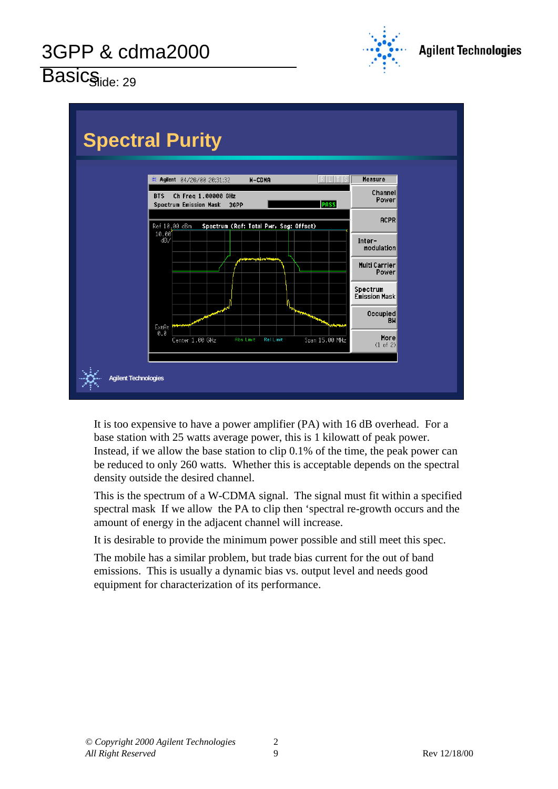

Basicside: 29



It is too expensive to have a power amplifier (PA) with 16 dB overhead. For a base station with 25 watts average power, this is 1 kilowatt of peak power. Instead, if we allow the base station to clip 0.1% of the time, the peak power can be reduced to only 260 watts. Whether this is acceptable depends on the spectral density outside the desired channel.

This is the spectrum of a W-CDMA signal. The signal must fit within a specified spectral mask If we allow the PA to clip then 'spectral re-growth occurs and the amount of energy in the adjacent channel will increase.

It is desirable to provide the minimum power possible and still meet this spec.

The mobile has a similar problem, but trade bias current for the out of band emissions. This is usually a dynamic bias vs. output level and needs good equipment for characterization of its performance.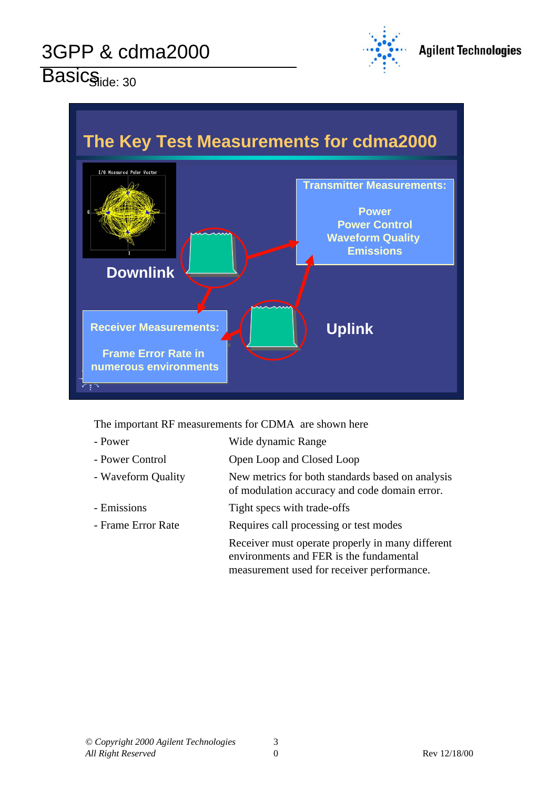

 $\overline{\mathsf{Basis}_{\mathsf{side: 30}}}$ 



The important RF measurements for CDMA are shown here

| - Power            | Wide dynamic Range                                                                                                                        |
|--------------------|-------------------------------------------------------------------------------------------------------------------------------------------|
| - Power Control    | Open Loop and Closed Loop                                                                                                                 |
| - Waveform Quality | New metrics for both standards based on analysis<br>of modulation accuracy and code domain error.                                         |
| - Emissions        | Tight specs with trade-offs                                                                                                               |
| - Frame Error Rate | Requires call processing or test modes                                                                                                    |
|                    | Receiver must operate properly in many different<br>environments and FER is the fundamental<br>measurement used for receiver performance. |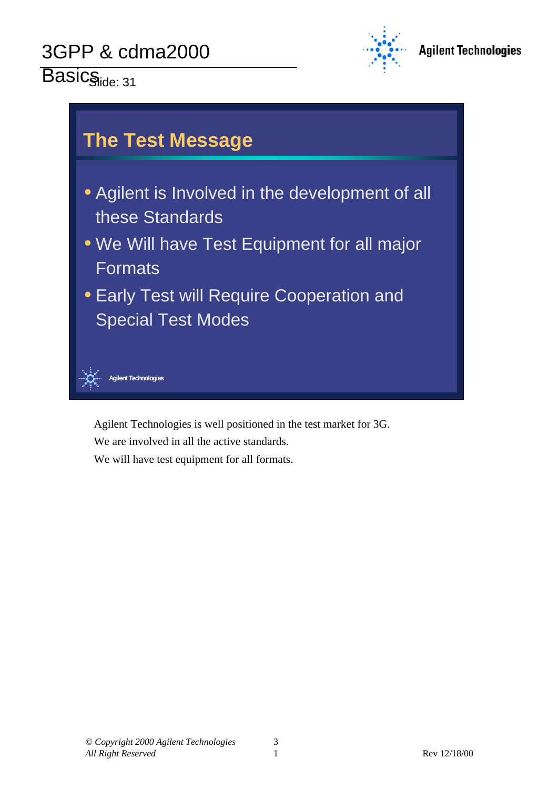Basicside: 31





Agilent Technologies is well positioned in the test market for 3G.

We are involved in all the active standards.

We will have test equipment for all formats.